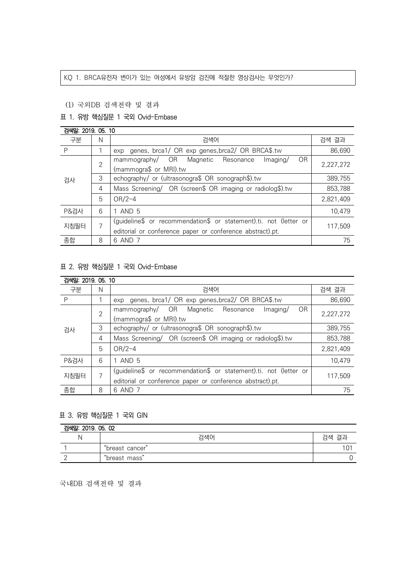### KQ 1. BRCA유전자 변이가 있는 여성에서 유방암 검진에 적절한 영상검사는 무엇인가?

### (1) 국외DB 검색전략 및 결과

# 표 1. 유방 핵심질문 1 국외 Ovid-Embase

| 검색일: 2019. 05. 10 |                |                                                                   |           |  |
|-------------------|----------------|-------------------------------------------------------------------|-----------|--|
| 구분                | Ν              | 검색어                                                               | 검색 결과     |  |
| P                 |                | genes, brca1/ OR exp genes, brca2/ OR BRCA\$.tw<br>exp            | 86,690    |  |
| 검사                | $\overline{2}$ | mammography/ OR<br><b>OR</b><br>Magnetic Resonance<br>Imaging/    | 2,227,272 |  |
|                   |                | (mammogra\$ or MRI).tw                                            |           |  |
|                   | 3              | echography/ or (ultrasonogra\$ OR sonograph\$).tw                 | 389,755   |  |
|                   | 4              | Mass Screening/ OR (screen\$ OR imaging or radiolog\$).tw         | 853,788   |  |
|                   | 5              | $OR/2-4$                                                          | 2,821,409 |  |
| P&검사              | 6              | 1 AND 5                                                           | 10,479    |  |
| 지침필터              | 7              | (guideline\$ or recommendation\$ or statement).ti. not (letter or | 117.509   |  |
|                   |                | editorial or conference paper or conference abstract).pt.         |           |  |
| 종합                | 8              | 6 AND 7                                                           | 75        |  |

## 표 2. 유방 핵심질문 1 국외 Ovid-Embase

| 검색일: 2019. 05. 10 |                |                                                                   |           |  |
|-------------------|----------------|-------------------------------------------------------------------|-----------|--|
| 구분                | N              | 검색어                                                               | 검색 결과     |  |
| P                 |                | genes, brca1/ OR exp genes, brca2/ OR BRCA\$.tw<br>exp            | 86,690    |  |
| 검사                | $\overline{2}$ | mammography/ OR<br><b>OR</b><br>Magnetic Resonance<br>Imaging/    | 2,227,272 |  |
|                   |                | (mammogra\$ or MRI).tw                                            |           |  |
|                   | 3              | echography/ or (ultrasonogra\$ OR sonograph\$).tw                 | 389,755   |  |
|                   | 4              | Mass Screening/ OR (screen\$ OR imaging or radiolog\$).tw         | 853,788   |  |
|                   | 5              | $OR/2-4$                                                          | 2,821,409 |  |
| P&검사              | 6              | 1 AND 5                                                           | 10.479    |  |
| 지침필터              | 7              | (guideline\$ or recommendation\$ or statement).ti. not (letter or | 117,509   |  |
|                   |                | editorial or conference paper or conference abstract).pt.         |           |  |
| 종합                | 8              | 6 AND 7                                                           | 75        |  |

## 표 3. 유방 핵심질문 1 국외 GIN

| 검색일: 2019, 05, 02 |                 |       |  |
|-------------------|-----------------|-------|--|
|                   | 검색어             | 검색 결과 |  |
|                   | "breast cancer" |       |  |
|                   | "breast mass"   |       |  |

국내DB 검색전략 및 결과